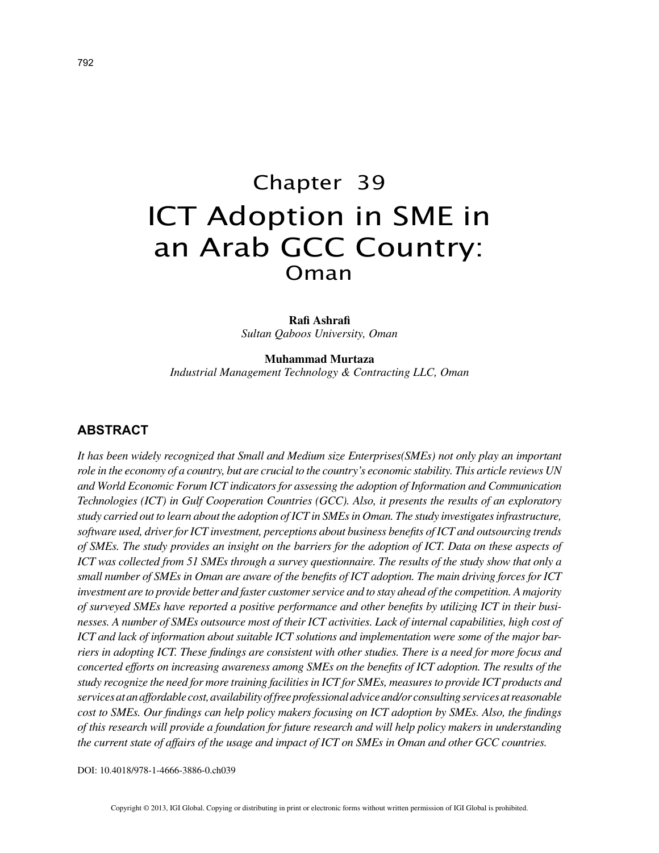# Chapter 39 ICT Adoption in SME in an Arab GCC Country: Oman

**Rafi Ashrafi** *Sultan Qaboos University, Oman*

**Muhammad Murtaza** *Industrial Management Technology & Contracting LLC, Oman*

#### **ABSTRACT**

*It has been widely recognized that Small and Medium size Enterprises(SMEs) not only play an important role in the economy of a country, but are crucial to the country's economic stability. This article reviews UN and World Economic Forum ICT indicators for assessing the adoption of Information and Communication Technologies (ICT) in Gulf Cooperation Countries (GCC). Also, it presents the results of an exploratory study carried out to learn about the adoption of ICT in SMEs in Oman. The study investigates infrastructure, software used, driver for ICT investment, perceptions about business benefits of ICT and outsourcing trends of SMEs. The study provides an insight on the barriers for the adoption of ICT. Data on these aspects of ICT was collected from 51 SMEs through a survey questionnaire. The results of the study show that only a small number of SMEs in Oman are aware of the benefits of ICT adoption. The main driving forces for ICT investment are to provide better and faster customer service and to stay ahead of the competition. A majority of surveyed SMEs have reported a positive performance and other benefits by utilizing ICT in their businesses. A number of SMEs outsource most of their ICT activities. Lack of internal capabilities, high cost of ICT and lack of information about suitable ICT solutions and implementation were some of the major barriers in adopting ICT. These findings are consistent with other studies. There is a need for more focus and concerted efforts on increasing awareness among SMEs on the benefits of ICT adoption. The results of the study recognize the need for more training facilities in ICT for SMEs, measures to provide ICT products and services at an affordable cost, availability of free professional advice and/or consulting services at reasonable cost to SMEs. Our findings can help policy makers focusing on ICT adoption by SMEs. Also, the findings of this research will provide a foundation for future research and will help policy makers in understanding the current state of affairs of the usage and impact of ICT on SMEs in Oman and other GCC countries.*

DOI: 10.4018/978-1-4666-3886-0.ch039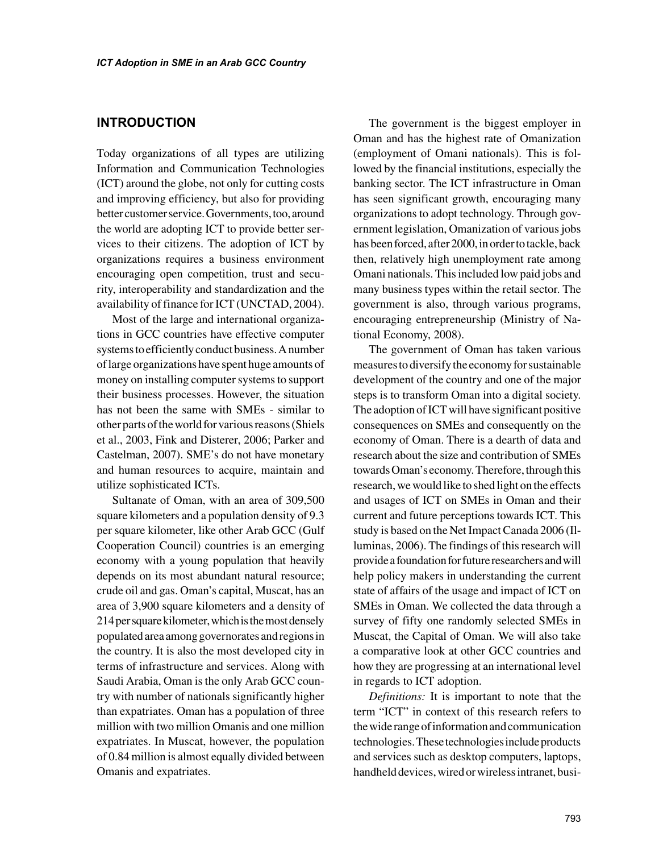## **INTRODUCTION**

Today organizations of all types are utilizing Information and Communication Technologies (ICT) around the globe, not only for cutting costs and improving efficiency, but also for providing better customer service. Governments, too, around the world are adopting ICT to provide better services to their citizens. The adoption of ICT by organizations requires a business environment encouraging open competition, trust and security, interoperability and standardization and the availability of finance for ICT (UNCTAD, 2004).

Most of the large and international organizations in GCC countries have effective computer systems to efficiently conduct business. A number of large organizations have spent huge amounts of money on installing computer systems to support their business processes. However, the situation has not been the same with SMEs - similar to other parts of the world for various reasons (Shiels et al., 2003, Fink and Disterer, 2006; Parker and Castelman, 2007). SME's do not have monetary and human resources to acquire, maintain and utilize sophisticated ICTs.

Sultanate of Oman, with an area of 309,500 square kilometers and a population density of 9.3 per square kilometer, like other Arab GCC (Gulf Cooperation Council) countries is an emerging economy with a young population that heavily depends on its most abundant natural resource; crude oil and gas. Oman's capital, Muscat, has an area of 3,900 square kilometers and a density of 214 per square kilometer, which is the most densely populated area among governorates and regions in the country. It is also the most developed city in terms of infrastructure and services. Along with Saudi Arabia, Oman is the only Arab GCC country with number of nationals significantly higher than expatriates. Oman has a population of three million with two million Omanis and one million expatriates. In Muscat, however, the population of 0.84 million is almost equally divided between Omanis and expatriates.

The government is the biggest employer in Oman and has the highest rate of Omanization (employment of Omani nationals). This is followed by the financial institutions, especially the banking sector. The ICT infrastructure in Oman has seen significant growth, encouraging many organizations to adopt technology. Through government legislation, Omanization of various jobs has been forced, after 2000, in order to tackle, back then, relatively high unemployment rate among Omani nationals. This included low paid jobs and many business types within the retail sector. The government is also, through various programs, encouraging entrepreneurship (Ministry of National Economy, 2008).

The government of Oman has taken various measures to diversify the economy for sustainable development of the country and one of the major steps is to transform Oman into a digital society. The adoption of ICT will have significant positive consequences on SMEs and consequently on the economy of Oman. There is a dearth of data and research about the size and contribution of SMEs towards Oman's economy. Therefore, through this research, we would like to shed light on the effects and usages of ICT on SMEs in Oman and their current and future perceptions towards ICT. This study is based on the Net Impact Canada 2006 (Illuminas, 2006). The findings of this research will provide a foundation for future researchers and will help policy makers in understanding the current state of affairs of the usage and impact of ICT on SMEs in Oman. We collected the data through a survey of fifty one randomly selected SMEs in Muscat, the Capital of Oman. We will also take a comparative look at other GCC countries and how they are progressing at an international level in regards to ICT adoption.

*Definitions:* It is important to note that the term "ICT" in context of this research refers to the wide range of information and communication technologies. These technologies include products and services such as desktop computers, laptops, handheld devices, wired or wireless intranet, busi